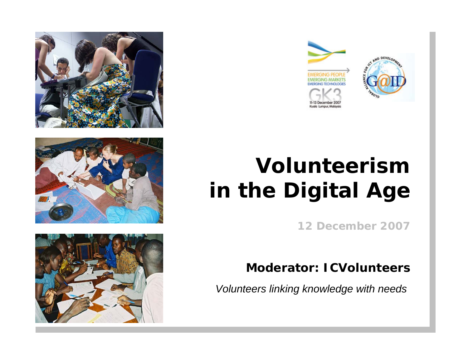







# **Volunteerism in the Digital Age**

**12 December 2007**

#### **Moderator: ICVolunteers**

*Volunteers linking knowledge with needs*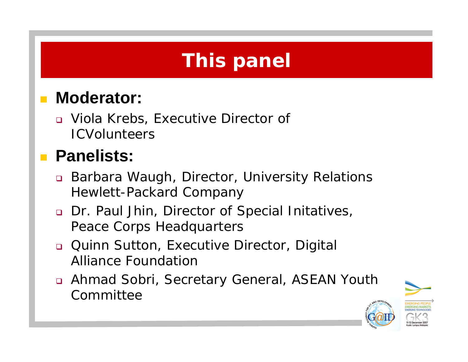## **This panel**

#### $\mathcal{L}^{\mathcal{A}}$ **Moderator:**

 Viola Krebs, Executive Director of **ICVolunteers** 

#### **Panelists:**

- Barbara Waugh, Director, University Relations Hewlett-Packard Company
- Dr. Paul Jhin, Director of Special Initatives, Peace Corps Headquarters
- Quinn Sutton, Executive Director, Digital Alliance Foundation
- Ahmad Sobri, Secretary General, ASEAN Youth **Committee**

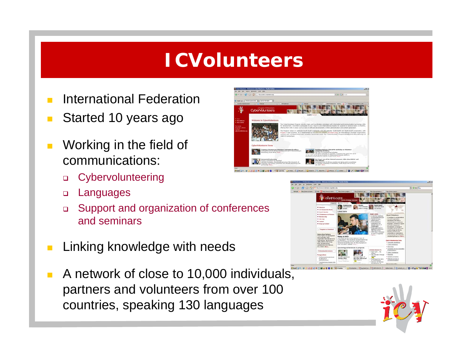#### **ICVolunteers**

- International Federation
- Started 10 years ago
- Working in the field of communications:
	- $\Box$ **Cybervolunteering**
	- $\Box$ Languages
	- $\Box$  Support and organization of conferences and seminars
- Linking knowledge with needs
- A network of close to 10,000 individuals, partners and volunteers from over 100 countries, speaking 130 languages





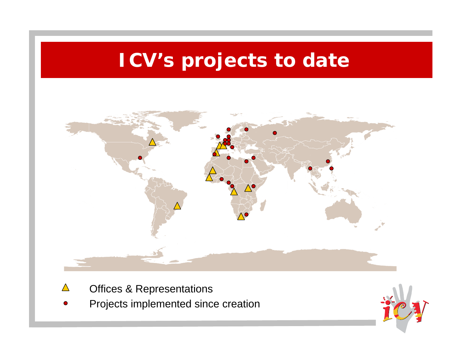## **ICV's projects to date**



- Offices & Representations  $\triangle$
- Projects implemented since creation

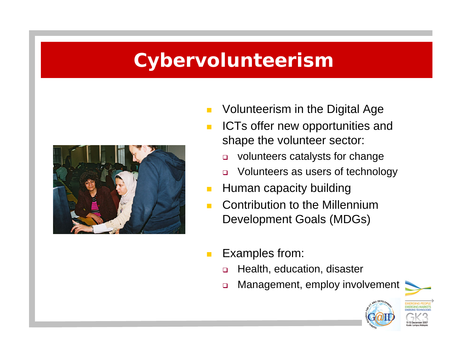#### **Cybervolunteerism**



- Volunteerism in the Digital Age
- $\blacksquare$  ICTs offer new opportunities and shape the volunteer sector:
	- $\Box$ volunteers catalysts for change
	- $\Box$ Volunteers as users of technology
- $\mathcal{L}_{\mathcal{A}}$ Human capacity building
- $\mathcal{L}^{\mathcal{A}}$  Contribution to the Millennium Development Goals (MDGs)
- $\mathcal{L}_{\mathcal{A}}$  Examples from:
	- $\Box$ Health, education, disaster
	- $\Box$ Management, employ involvement

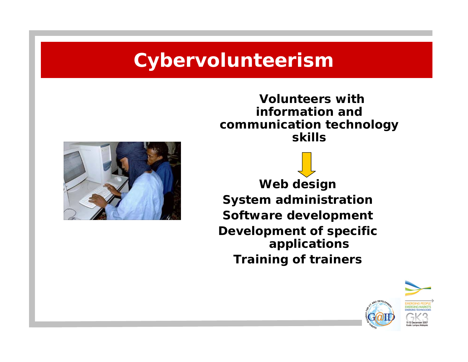#### **Cybervolunteerism**

**Volunteers with information and communication technology skills**



**Web design System administration Software development Development of specific applications Training of trainers**

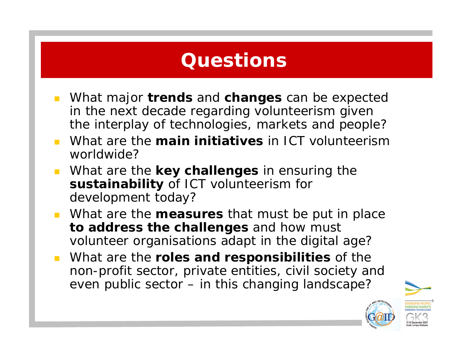#### **Questions**

- What major **trends** and **changes** can be expected in the next decade regarding volunteerism given the interplay of technologies, markets and people?
- What are the **main initiatives** in ICT volunteerism worldwide?
- What are the **key challenges** in ensuring the **sustainability** of ICT volunteerism for development today?
- What are the **measures** that must be put in place **to address the challenges** and how must volunteer organisations adapt in the digital age?
- What are the **roles and responsibilities** of the non-profit sector, private entities, civil society and even public sector – in this changing landscape?

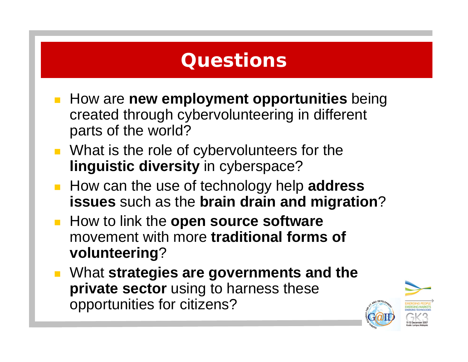#### **Questions**

- **How are new employment opportunities** being created through cybervolunteering in different parts of the world?
- **Nhat is the role of cybervolunteers for the linguistic diversity** in cyberspace?
- How can the use of technology help **address issues** such as the **brain drain and migration**?
- **How to link the open source software** movement with more **traditional forms of volunteering**?
- What **strategies are governments and the private sector** using to harness these opportunities for citizens?